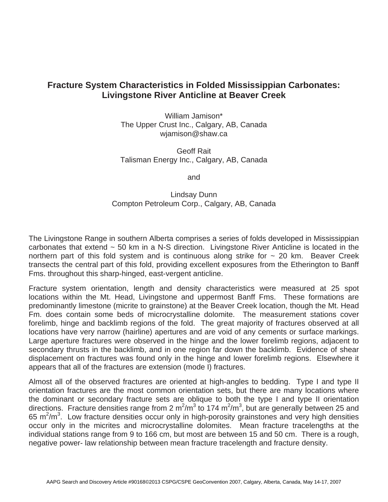## **Fracture System Characteristics in Folded Mississippian Carbonates: Livingstone River Anticline at Beaver Creek**

William Jamison\* The Upper Crust Inc., Calgary, AB, Canada wjamison@shaw.ca

Geoff Rait Talisman Energy Inc., Calgary, AB, Canada

and

## Lindsay Dunn Compton Petroleum Corp., Calgary, AB, Canada

The Livingstone Range in southern Alberta comprises a series of folds developed in Mississippian carbonates that extend ~ 50 km in a N-S direction. Livingstone River Anticline is located in the northern part of this fold system and is continuous along strike for  $\sim$  20 km. Beaver Creek transects the central part of this fold, providing excellent exposures from the Etherington to Banff Fms. throughout this sharp-hinged, east-vergent anticline.

Fracture system orientation, length and density characteristics were measured at 25 spot locations within the Mt. Head, Livingstone and uppermost Banff Fms. These formations are predominantly limestone (micrite to grainstone) at the Beaver Creek location, though the Mt. Head Fm. does contain some beds of microcrystalline dolomite. The measurement stations cover forelimb, hinge and backlimb regions of the fold. The great majority of fractures observed at all locations have very narrow (hairline) apertures and are void of any cements or surface markings. Large aperture fractures were observed in the hinge and the lower forelimb regions, adjacent to secondary thrusts in the backlimb, and in one region far down the backlimb. Evidence of shear displacement on fractures was found only in the hinge and lower forelimb regions. Elsewhere it appears that all of the fractures are extension (mode I) fractures.

Almost all of the observed fractures are oriented at high-angles to bedding. Type I and type II orientation fractures are the most common orientation sets, but there are many locations where the dominant or secondary fracture sets are oblique to both the type I and type II orientation directions. Fracture densities range from 2  $m^2/m^3$  to 174  $m^2/m^3$ , but are generally between 25 and 65  $m^2/m^3$ . Low fracture densities occur only in high-porosity grainstones and very high densities occur only in the micrites and microcrystalline dolomites. Mean fracture tracelengths at the individual stations range from 9 to 166 cm, but most are between 15 and 50 cm. There is a rough, negative power- law relationship between mean fracture tracelength and fracture density.